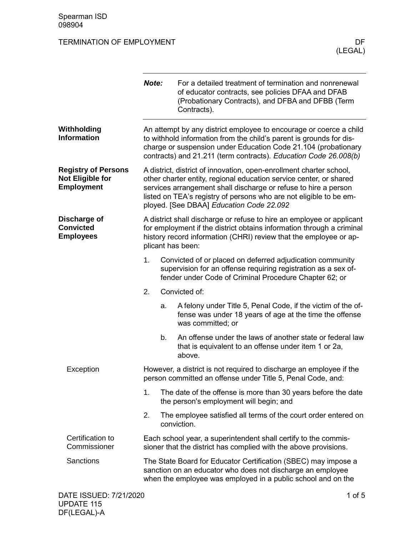|                                                                            | Note:                                                                                                                                                                                                                                    |                                                                                                          | For a detailed treatment of termination and nonrenewal<br>of educator contracts, see policies DFAA and DFAB<br>(Probationary Contracts), and DFBA and DFBB (Term<br>Contracts).                                                                                                                                                |  |  |
|----------------------------------------------------------------------------|------------------------------------------------------------------------------------------------------------------------------------------------------------------------------------------------------------------------------------------|----------------------------------------------------------------------------------------------------------|--------------------------------------------------------------------------------------------------------------------------------------------------------------------------------------------------------------------------------------------------------------------------------------------------------------------------------|--|--|
| Withholding<br><b>Information</b>                                          |                                                                                                                                                                                                                                          |                                                                                                          | An attempt by any district employee to encourage or coerce a child<br>to withhold information from the child's parent is grounds for dis-<br>charge or suspension under Education Code 21.104 (probationary<br>contracts) and 21.211 (term contracts). Education Code 26.008(b)                                                |  |  |
| <b>Registry of Persons</b><br><b>Not Eligible for</b><br><b>Employment</b> |                                                                                                                                                                                                                                          |                                                                                                          | A district, district of innovation, open-enrollment charter school,<br>other charter entity, regional education service center, or shared<br>services arrangement shall discharge or refuse to hire a person<br>listed on TEA's registry of persons who are not eligible to be em-<br>ployed. [See DBAA] Education Code 22.092 |  |  |
| Discharge of<br><b>Convicted</b><br><b>Employees</b>                       | A district shall discharge or refuse to hire an employee or applicant<br>for employment if the district obtains information through a criminal<br>history record information (CHRI) review that the employee or ap-<br>plicant has been: |                                                                                                          |                                                                                                                                                                                                                                                                                                                                |  |  |
|                                                                            | 1.                                                                                                                                                                                                                                       |                                                                                                          | Convicted of or placed on deferred adjudication community<br>supervision for an offense requiring registration as a sex of-<br>fender under Code of Criminal Procedure Chapter 62; or                                                                                                                                          |  |  |
|                                                                            | 2.                                                                                                                                                                                                                                       |                                                                                                          | Convicted of:                                                                                                                                                                                                                                                                                                                  |  |  |
|                                                                            |                                                                                                                                                                                                                                          | a.                                                                                                       | A felony under Title 5, Penal Code, if the victim of the of-<br>fense was under 18 years of age at the time the offense<br>was committed; or                                                                                                                                                                                   |  |  |
|                                                                            |                                                                                                                                                                                                                                          | b.                                                                                                       | An offense under the laws of another state or federal law<br>that is equivalent to an offense under item 1 or 2a,<br>above.                                                                                                                                                                                                    |  |  |
| Exception                                                                  | However, a district is not required to discharge an employee if the<br>person committed an offense under Title 5, Penal Code, and:                                                                                                       |                                                                                                          |                                                                                                                                                                                                                                                                                                                                |  |  |
|                                                                            | 1.                                                                                                                                                                                                                                       | The date of the offense is more than 30 years before the date<br>the person's employment will begin; and |                                                                                                                                                                                                                                                                                                                                |  |  |
|                                                                            | 2.                                                                                                                                                                                                                                       |                                                                                                          | The employee satisfied all terms of the court order entered on<br>conviction.                                                                                                                                                                                                                                                  |  |  |
| Certification to<br>Commissioner                                           |                                                                                                                                                                                                                                          |                                                                                                          | Each school year, a superintendent shall certify to the commis-<br>sioner that the district has complied with the above provisions.                                                                                                                                                                                            |  |  |
| Sanctions                                                                  |                                                                                                                                                                                                                                          |                                                                                                          | The State Board for Educator Certification (SBEC) may impose a<br>sanction on an educator who does not discharge an employee<br>when the employee was employed in a public school and on the                                                                                                                                   |  |  |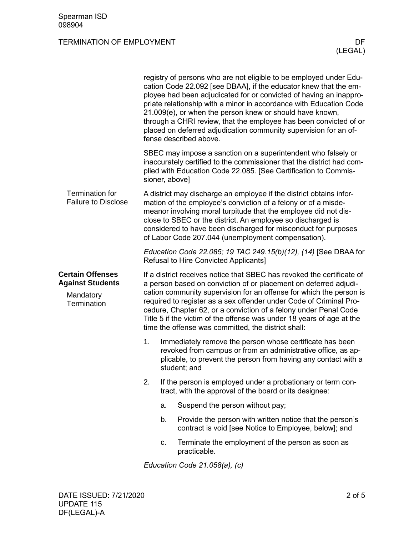|                                                                                | registry of persons who are not eligible to be employed under Edu-<br>cation Code 22.092 [see DBAA], if the educator knew that the em-<br>ployee had been adjudicated for or convicted of having an inappro-<br>priate relationship with a minor in accordance with Education Code<br>21.009(e), or when the person knew or should have known,<br>through a CHRI review, that the employee has been convicted of or<br>placed on deferred adjudication community supervision for an of-<br>fense described above. |                                                                                                                                                                                                                                                                                                                                                                                                 |                                                                                                                                                                                                           |  |  |  |
|--------------------------------------------------------------------------------|-------------------------------------------------------------------------------------------------------------------------------------------------------------------------------------------------------------------------------------------------------------------------------------------------------------------------------------------------------------------------------------------------------------------------------------------------------------------------------------------------------------------|-------------------------------------------------------------------------------------------------------------------------------------------------------------------------------------------------------------------------------------------------------------------------------------------------------------------------------------------------------------------------------------------------|-----------------------------------------------------------------------------------------------------------------------------------------------------------------------------------------------------------|--|--|--|
|                                                                                |                                                                                                                                                                                                                                                                                                                                                                                                                                                                                                                   | sioner, above]                                                                                                                                                                                                                                                                                                                                                                                  | SBEC may impose a sanction on a superintendent who falsely or<br>inaccurately certified to the commissioner that the district had com-<br>plied with Education Code 22.085. [See Certification to Commis- |  |  |  |
| <b>Termination for</b><br><b>Failure to Disclose</b>                           |                                                                                                                                                                                                                                                                                                                                                                                                                                                                                                                   | A district may discharge an employee if the district obtains infor-<br>mation of the employee's conviction of a felony or of a misde-<br>meanor involving moral turpitude that the employee did not dis-<br>close to SBEC or the district. An employee so discharged is<br>considered to have been discharged for misconduct for purposes<br>of Labor Code 207.044 (unemployment compensation). |                                                                                                                                                                                                           |  |  |  |
|                                                                                | Education Code 22.085; 19 TAC 249.15(b)(12), (14) [See DBAA for<br><b>Refusal to Hire Convicted Applicants]</b>                                                                                                                                                                                                                                                                                                                                                                                                   |                                                                                                                                                                                                                                                                                                                                                                                                 |                                                                                                                                                                                                           |  |  |  |
| <b>Certain Offenses</b><br><b>Against Students</b><br>Mandatory<br>Termination | If a district receives notice that SBEC has revoked the certificate of<br>a person based on conviction of or placement on deferred adjudi-<br>cation community supervision for an offense for which the person is<br>required to register as a sex offender under Code of Criminal Pro-<br>cedure, Chapter 62, or a conviction of a felony under Penal Code<br>Title 5 if the victim of the offense was under 18 years of age at the<br>time the offense was committed, the district shall:                       |                                                                                                                                                                                                                                                                                                                                                                                                 |                                                                                                                                                                                                           |  |  |  |
|                                                                                | 1.                                                                                                                                                                                                                                                                                                                                                                                                                                                                                                                | Immediately remove the person whose certificate has been<br>revoked from campus or from an administrative office, as ap-<br>plicable, to prevent the person from having any contact with a<br>student; and                                                                                                                                                                                      |                                                                                                                                                                                                           |  |  |  |
|                                                                                | 2.                                                                                                                                                                                                                                                                                                                                                                                                                                                                                                                |                                                                                                                                                                                                                                                                                                                                                                                                 | If the person is employed under a probationary or term con-<br>tract, with the approval of the board or its designee:                                                                                     |  |  |  |
|                                                                                |                                                                                                                                                                                                                                                                                                                                                                                                                                                                                                                   | a.                                                                                                                                                                                                                                                                                                                                                                                              | Suspend the person without pay;                                                                                                                                                                           |  |  |  |
|                                                                                |                                                                                                                                                                                                                                                                                                                                                                                                                                                                                                                   | b.                                                                                                                                                                                                                                                                                                                                                                                              | Provide the person with written notice that the person's<br>contract is void [see Notice to Employee, below]; and                                                                                         |  |  |  |
|                                                                                |                                                                                                                                                                                                                                                                                                                                                                                                                                                                                                                   | c.                                                                                                                                                                                                                                                                                                                                                                                              | Terminate the employment of the person as soon as<br>practicable.                                                                                                                                         |  |  |  |
|                                                                                | Education Code 21.058(a), (c)                                                                                                                                                                                                                                                                                                                                                                                                                                                                                     |                                                                                                                                                                                                                                                                                                                                                                                                 |                                                                                                                                                                                                           |  |  |  |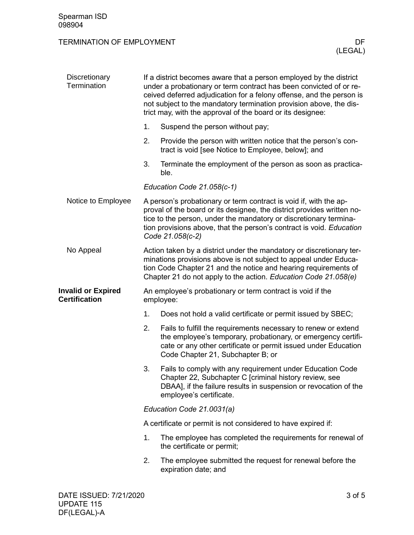| Discretionary<br>Termination                      |                                                                         | If a district becomes aware that a person employed by the district<br>under a probationary or term contract has been convicted of or re-<br>ceived deferred adjudication for a felony offense, and the person is<br>not subject to the mandatory termination provision above, the dis-<br>trict may, with the approval of the board or its designee: |  |  |  |
|---------------------------------------------------|-------------------------------------------------------------------------|------------------------------------------------------------------------------------------------------------------------------------------------------------------------------------------------------------------------------------------------------------------------------------------------------------------------------------------------------|--|--|--|
|                                                   | 1.                                                                      | Suspend the person without pay;                                                                                                                                                                                                                                                                                                                      |  |  |  |
|                                                   | 2.                                                                      | Provide the person with written notice that the person's con-<br>tract is void [see Notice to Employee, below]; and                                                                                                                                                                                                                                  |  |  |  |
|                                                   | 3.                                                                      | Terminate the employment of the person as soon as practica-<br>ble.                                                                                                                                                                                                                                                                                  |  |  |  |
|                                                   |                                                                         | Education Code 21.058(c-1)                                                                                                                                                                                                                                                                                                                           |  |  |  |
| Notice to Employee                                |                                                                         | A person's probationary or term contract is void if, with the ap-<br>proval of the board or its designee, the district provides written no-<br>tice to the person, under the mandatory or discretionary termina-<br>tion provisions above, that the person's contract is void. Education<br>Code 21.058(c-2)                                         |  |  |  |
| No Appeal                                         |                                                                         | Action taken by a district under the mandatory or discretionary ter-<br>minations provisions above is not subject to appeal under Educa-<br>tion Code Chapter 21 and the notice and hearing requirements of<br>Chapter 21 do not apply to the action. Education Code 21.058(e)                                                                       |  |  |  |
| <b>Invalid or Expired</b><br><b>Certification</b> | An employee's probationary or term contract is void if the<br>employee: |                                                                                                                                                                                                                                                                                                                                                      |  |  |  |
|                                                   | 1.                                                                      | Does not hold a valid certificate or permit issued by SBEC;                                                                                                                                                                                                                                                                                          |  |  |  |
|                                                   | 2.                                                                      | Fails to fulfill the requirements necessary to renew or extend<br>the employee's temporary, probationary, or emergency certifi-<br>cate or any other certificate or permit issued under Education<br>Code Chapter 21, Subchapter B; or                                                                                                               |  |  |  |
|                                                   | 3.                                                                      | Fails to comply with any requirement under Education Code<br>Chapter 22, Subchapter C [criminal history review, see<br>DBAA], if the failure results in suspension or revocation of the<br>employee's certificate.                                                                                                                                   |  |  |  |
|                                                   |                                                                         | Education Code 21.0031(a)                                                                                                                                                                                                                                                                                                                            |  |  |  |
|                                                   |                                                                         | A certificate or permit is not considered to have expired if:                                                                                                                                                                                                                                                                                        |  |  |  |
|                                                   | 1.                                                                      | The employee has completed the requirements for renewal of<br>the certificate or permit;                                                                                                                                                                                                                                                             |  |  |  |
|                                                   | 2.                                                                      | The employee submitted the request for renewal before the<br>expiration date; and                                                                                                                                                                                                                                                                    |  |  |  |
|                                                   |                                                                         |                                                                                                                                                                                                                                                                                                                                                      |  |  |  |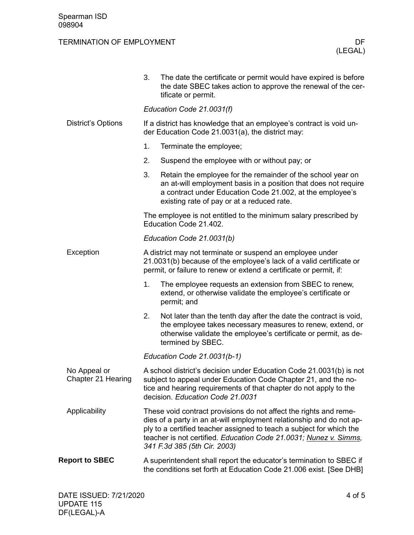|                                    | 3.                                                                                                                                                                                                     | The date the certificate or permit would have expired is before<br>the date SBEC takes action to approve the renewal of the cer-<br>tificate or permit.                                                                                                                                                                |  |  |
|------------------------------------|--------------------------------------------------------------------------------------------------------------------------------------------------------------------------------------------------------|------------------------------------------------------------------------------------------------------------------------------------------------------------------------------------------------------------------------------------------------------------------------------------------------------------------------|--|--|
|                                    | Education Code 21.0031(f)                                                                                                                                                                              |                                                                                                                                                                                                                                                                                                                        |  |  |
| <b>District's Options</b>          | If a district has knowledge that an employee's contract is void un-<br>der Education Code 21.0031(a), the district may:                                                                                |                                                                                                                                                                                                                                                                                                                        |  |  |
|                                    | 1.                                                                                                                                                                                                     | Terminate the employee;                                                                                                                                                                                                                                                                                                |  |  |
|                                    | 2.                                                                                                                                                                                                     | Suspend the employee with or without pay; or                                                                                                                                                                                                                                                                           |  |  |
|                                    | 3.                                                                                                                                                                                                     | Retain the employee for the remainder of the school year on<br>an at-will employment basis in a position that does not require<br>a contract under Education Code 21.002, at the employee's<br>existing rate of pay or at a reduced rate.                                                                              |  |  |
|                                    |                                                                                                                                                                                                        | The employee is not entitled to the minimum salary prescribed by<br>Education Code 21.402.                                                                                                                                                                                                                             |  |  |
|                                    |                                                                                                                                                                                                        | Education Code 21.0031(b)                                                                                                                                                                                                                                                                                              |  |  |
| Exception                          | A district may not terminate or suspend an employee under<br>21.0031(b) because of the employee's lack of a valid certificate or<br>permit, or failure to renew or extend a certificate or permit, if: |                                                                                                                                                                                                                                                                                                                        |  |  |
|                                    | 1.                                                                                                                                                                                                     | The employee requests an extension from SBEC to renew,<br>extend, or otherwise validate the employee's certificate or<br>permit; and                                                                                                                                                                                   |  |  |
|                                    | 2.                                                                                                                                                                                                     | Not later than the tenth day after the date the contract is void,<br>the employee takes necessary measures to renew, extend, or<br>otherwise validate the employee's certificate or permit, as de-<br>termined by SBEC.                                                                                                |  |  |
|                                    |                                                                                                                                                                                                        | Education Code 21.0031(b-1)                                                                                                                                                                                                                                                                                            |  |  |
| No Appeal or<br>Chapter 21 Hearing |                                                                                                                                                                                                        | A school district's decision under Education Code 21.0031(b) is not<br>subject to appeal under Education Code Chapter 21, and the no-<br>tice and hearing requirements of that chapter do not apply to the<br>decision. Education Code 21.0031                                                                         |  |  |
| Applicability                      |                                                                                                                                                                                                        | These void contract provisions do not affect the rights and reme-<br>dies of a party in an at-will employment relationship and do not ap-<br>ply to a certified teacher assigned to teach a subject for which the<br>teacher is not certified. Education Code 21.0031; Nunez v. Simms,<br>341 F.3d 385 (5th Cir. 2003) |  |  |
| <b>Report to SBEC</b>              |                                                                                                                                                                                                        | A superintendent shall report the educator's termination to SBEC if<br>the conditions set forth at Education Code 21.006 exist. [See DHB]                                                                                                                                                                              |  |  |